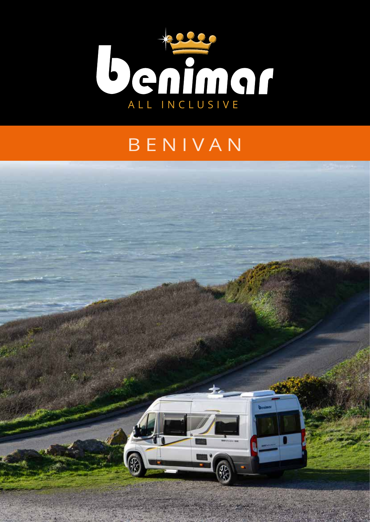

## BENIVAN